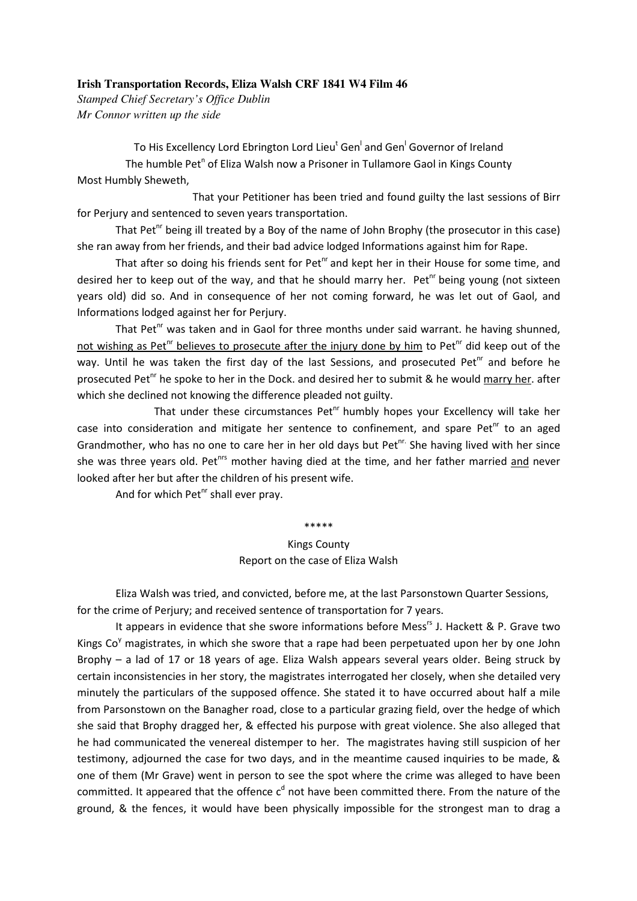## **Irish Transportation Records, Eliza Walsh CRF 1841 W4 Film 46**

*Stamped Chief Secretary's Office Dublin Mr Connor written up the side* 

To His Excellency Lord Ebrington Lord Lieu<sup>t</sup> Gen<sup>l</sup> and Gen<sup>l</sup> Governor of Ireland The humble Pet<sup>n</sup> of Eliza Walsh now a Prisoner in Tullamore Gaol in Kings County Most Humbly Sheweth,

 That your Petitioner has been tried and found guilty the last sessions of Birr for Perjury and sentenced to seven years transportation.

That Pet<sup>nr</sup> being ill treated by a Boy of the name of John Brophy (the prosecutor in this case) she ran away from her friends, and their bad advice lodged Informations against him for Rape.

That after so doing his friends sent for  $Pet^{\text{nr}}$  and kept her in their House for some time, and desired her to keep out of the way, and that he should marry her. Pet<sup>hr</sup> being young (not sixteen years old) did so. And in consequence of her not coming forward, he was let out of Gaol, and Informations lodged against her for Perjury.

That Pet<sup>nr</sup> was taken and in Gaol for three months under said warrant. he having shunned, not wishing as Pet<sup>hr</sup> believes to prosecute after the injury done by him to Pet<sup>hr</sup> did keep out of the way. Until he was taken the first day of the last Sessions, and prosecuted Pet $n<sup>1</sup>$  and before he prosecuted Pet<sup>nr</sup> he spoke to her in the Dock. and desired her to submit & he would marry her. after which she declined not knowing the difference pleaded not guilty.

That under these circumstances Pet $n<sup>or</sup>$  humbly hopes your Excellency will take her case into consideration and mitigate her sentence to confinement, and spare Pet<sup>nr</sup> to an aged Grandmother, who has no one to care her in her old days but Pet $n<sup>r</sup>$ . She having lived with her since she was three years old. Pet<sup>hrs</sup> mother having died at the time, and her father married and never looked after her but after the children of his present wife.

And for which Pet $n$ <sup>r</sup> shall ever pray.

## \*\*\*\*\*

## Kings County Report on the case of Eliza Walsh

Eliza Walsh was tried, and convicted, before me, at the last Parsonstown Quarter Sessions, for the crime of Perjury; and received sentence of transportation for 7 years.

It appears in evidence that she swore informations before Mess<sup>rs</sup> J. Hackett & P. Grave two Kings  $Co<sup>y</sup>$  magistrates, in which she swore that a rape had been perpetuated upon her by one John Brophy – a lad of 17 or 18 years of age. Eliza Walsh appears several years older. Being struck by certain inconsistencies in her story, the magistrates interrogated her closely, when she detailed very minutely the particulars of the supposed offence. She stated it to have occurred about half a mile from Parsonstown on the Banagher road, close to a particular grazing field, over the hedge of which she said that Brophy dragged her, & effected his purpose with great violence. She also alleged that he had communicated the venereal distemper to her. The magistrates having still suspicion of her testimony, adjourned the case for two days, and in the meantime caused inquiries to be made, & one of them (Mr Grave) went in person to see the spot where the crime was alleged to have been committed. It appeared that the offence  $c^d$  not have been committed there. From the nature of the ground, & the fences, it would have been physically impossible for the strongest man to drag a